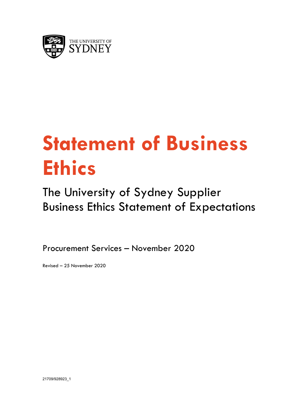

# **Statement of Business Ethics**

## The University of Sydney Supplier Business Ethics Statement of Expectations

Procurement Services – November 2020

Revised – 25 November 2020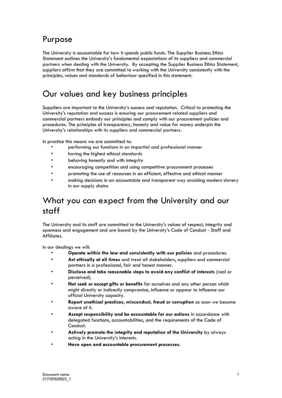#### Purpose

The University is accountable for how it spends public funds. The Supplier Business Ethics Statement outlines the University's fundamental expectations of its suppliers and commercial partners when dealing with the University. By accepting the Supplier Business Ethics Statement, suppliers affirm that they are committed to working with the University consistently with the principles, values and standards of behaviour specified in this statement.

#### Our values and key business principles

Suppliers are important to the University's success and reputation. Critical to protecting the University's reputation and success is ensuring our procurement related suppliers and commercial partners embody our principles and comply with our procurement policies and procedures. The principles of transparency, honesty and value for money underpin the University's relationships with its suppliers and commercial partners.

In practice this means we are committed to:

- performing our functions in an impartial and professional manner
- having the highest ethical standards
- behaving honestly and with integrity
- encouraging competition and using competitive procurement processes
- promoting the use of resources in an efficient, effective and ethical manner
- making decisions in an accountable and transparent way avoiding modern slavery in our supply chains

#### What you can expect from the University and our staff

The University and its staff are committed to the University's values of respect, integrity and openness and engagement and are bound by the University's Code of Conduct - Staff and Affiliates.

In our dealings we will:

- **Operate within the law and consistently with our policies** and procedures.
- **Act ethically at all times** and treat all stakeholders, suppliers and commercial partners in a professional, fair and honest manner.
- **Disclose and take reasonable steps to avoid any conflict of interests** (real or perceived).
- **Not seek or accept gifts or benefits** for ourselves and any other person which might directly or indirectly compromise, influence or appear to influence our official University capacity.
- **Report unethical practices, misconduct, fraud or corruption** as soon we become aware of it.
- **Accept responsibility and be accountable for our actions** in accordance with delegated functions, accountabilities, and the requirements of the Code of Conduct.
- **Actively promote the integrity and reputation of the University** by always acting in the University's interests.
- **Have open and accountable procurement processes**.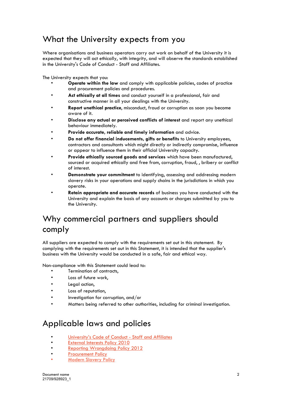#### What the University expects from you

Where organisations and business operators carry out work on behalf of the University it is expected that they will act ethically, with integrity, and will observe the standards established in the University's Code of Conduct - Staff and Affiliates.

The University expects that you:

- **Operate within the law** and comply with applicable policies, codes of practice and procurement policies and procedures.
- **Act ethically at all times** and conduct yourself in a professional, fair and constructive manner in all your dealings with the University.
- **Report unethical practice**, misconduct, fraud or corruption as soon you become aware of it.
- **Disclose any actual or perceived conflicts of interest** and report any unethical behaviour immediately.
- **Provide accurate, reliable and timely information** and advice.
- **Do not offer financial inducements, gifts or benefits** to University employees, contractors and consultants which might directly or indirectly compromise, influence or appear to influence them in their official University capacity.
- **Provide ethically sourced goods and services** which have been manufactured, sourced or acquired ethically and free from, corruption, fraud, , bribery or conflict of interest.
- **Demonstrate your commitment** to identifying, assessing and addressing modern slavery risks in your operations and supply chains in the jurisdictions in which you operate.
- **Retain appropriate and accurate records** of business you have conducted with the University and explain the basis of any accounts or charges submitted by you to the University.

### Why commercial partners and suppliers should comply

All suppliers are expected to comply with the requirements set out in this statement. By complying with the requirements set out in this Statement, it is intended that the supplier's business with the University would be conducted in a safe, fair and ethical way.

Non-compliance with this Statement could lead to:

- Termination of contracts,
- Loss of future work,
- Legal action,
- Loss of reputation,
- Investigation for corruption, and/or
- Matters being referred to other authorities, including for criminal investigation.

#### Applicable laws and policies

- [University's Code of Conduct -](http://sydney.edu.au/policies/showdoc.aspx?recnum=PDOC2011/65&RendNum=0) Staff and Affiliates
- **[External Interests Policy](http://sydney.edu.au/policies/showdoc.aspx?recnum=PDOC2011/75&RendNum=0) 2010**
- [Reporting Wrongdoing Policy 2012](http://sydney.edu.au/policies/showdoc.aspx?recnum=PDOC2012/271&RendNum=0)
- **[Procurement Policy](http://sydney.edu.au/policies/showdoc.aspx?recnum=PDOC2011/40&RendNum=0)**
- **[Modern Slavery Policy](https://www.sydney.edu.au/policies/showdoc.aspx?recnum=PDOC2020/516&RendNum=0)**